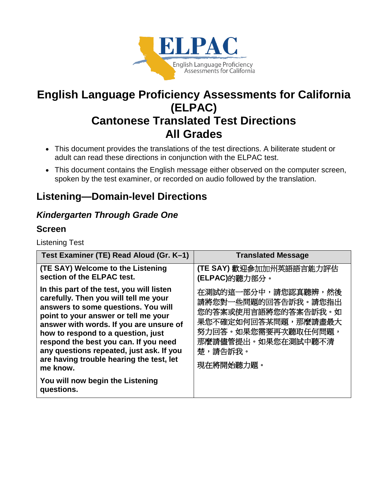

# **English Language Proficiency Assessments for California (ELPAC) Cantonese Translated Test Directions All Grades**

- This document provides the translations of the test directions. A biliterate student or adult can read these directions in conjunction with the ELPAC test.
- This document contains the English message either observed on the computer screen, spoken by the test examiner, or recorded on audio followed by the translation.

# **Listening—Domain-level Directions**

## *Kindergarten Through Grade One*

## **Screen**

Listening Test

| Test Examiner (TE) Read Aloud (Gr. K-1)                                                                                                                                                                                                                                                                                                                                                                                                           | <b>Translated Message</b>                                                                                                                                     |
|---------------------------------------------------------------------------------------------------------------------------------------------------------------------------------------------------------------------------------------------------------------------------------------------------------------------------------------------------------------------------------------------------------------------------------------------------|---------------------------------------------------------------------------------------------------------------------------------------------------------------|
| (TE SAY) Welcome to the Listening<br>section of the ELPAC test.                                                                                                                                                                                                                                                                                                                                                                                   | (TE SAY) 歡迎參加加州英語語言能力評估<br>(ELPAC)的聽力部分。                                                                                                                      |
| In this part of the test, you will listen<br>carefully. Then you will tell me your<br>answers to some questions. You will<br>point to your answer or tell me your<br>answer with words. If you are unsure of<br>how to respond to a question, just<br>respond the best you can. If you need<br>any questions repeated, just ask. If you<br>are having trouble hearing the test, let<br>me know.<br>You will now begin the Listening<br>questions. | 在測試的這一部分中,請您認真聽辨,然後<br>請將您對一些問題的回答告訴我。請您指出<br>您的答案或使用言語將您的答案告訴我。如<br>果您不確定如何回答某問題,那麼請盡最大<br>努力回答。如果您需要再次聽取任何問題,<br>那麼請儘管提出。如果您在測試中聽不清<br>楚,請告訴我。<br>現在將開始聽力題。 |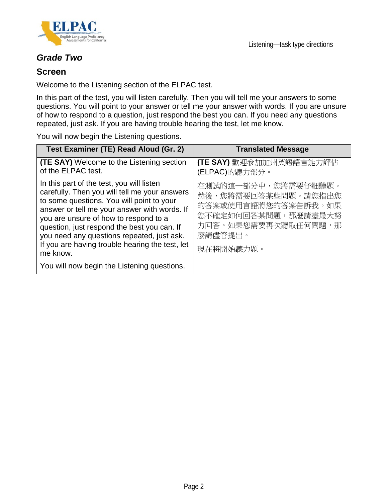

## *Grade Two*

### **Screen**

Welcome to the Listening section of the ELPAC test.

In this part of the test, you will listen carefully. Then you will tell me your answers to some questions. You will point to your answer or tell me your answer with words. If you are unsure of how to respond to a question, just respond the best you can. If you need any questions repeated, just ask. If you are having trouble hearing the test, let me know.

You will now begin the Listening questions.

| Test Examiner (TE) Read Aloud (Gr. 2)                                                                                                                                                                                                                                                                                                                                                                                                       | <b>Translated Message</b>                                                                                                               |
|---------------------------------------------------------------------------------------------------------------------------------------------------------------------------------------------------------------------------------------------------------------------------------------------------------------------------------------------------------------------------------------------------------------------------------------------|-----------------------------------------------------------------------------------------------------------------------------------------|
| <b>(TE SAY)</b> Welcome to the Listening section<br>of the ELPAC test.                                                                                                                                                                                                                                                                                                                                                                      | (TE SAY) 歡迎參加加州英語語言能力評估<br>(ELPAC)的聽力部分。                                                                                                |
| In this part of the test, you will listen<br>carefully. Then you will tell me your answers<br>to some questions. You will point to your<br>answer or tell me your answer with words. If<br>you are unsure of how to respond to a<br>question, just respond the best you can. If<br>you need any questions repeated, just ask.<br>If you are having trouble hearing the test, let<br>me know.<br>You will now begin the Listening questions. | 在測試的這一部分中,您將需要仔細聽題。<br>然後,您將需要回答某些問題。請您指出您<br>的答案或使用言語將您的答案告訴我。如果<br>您不確定如何回答某問題,那麼請盡最大努<br>力回答。如果您需要再次聽取任何問題,那<br>麼請儘管提出。<br>現在將開始聽力題。 |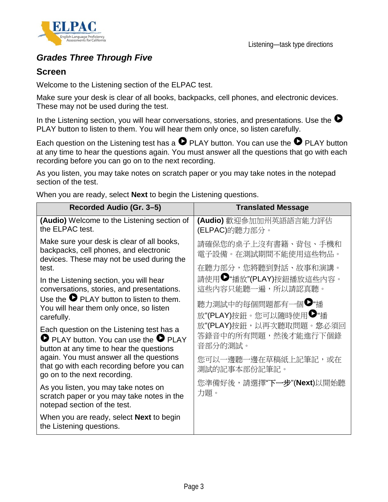

## *Grades Three Through Five*

## **Screen**

Welcome to the Listening section of the ELPAC test.

Make sure your desk is clear of all books, backpacks, cell phones, and electronic devices. These may not be used during the test.

In the Listening section, you will hear conversations, stories, and presentations. Use the  $\bullet$ PLAY button to listen to them. You will hear them only once, so listen carefully.

Each question on the Listening test has a  $\bullet$  PLAY button. You can use the  $\bullet$  PLAY button at any time to hear the questions again. You must answer all the questions that go with each recording before you can go on to the next recording.

As you listen, you may take notes on scratch paper or you may take notes in the notepad section of the test.

When you are ready, select **Next** to begin the Listening questions.

| Recorded Audio (Gr. 3-5)                                                                                                                                                                                                               | <b>Translated Message</b>                                                                        |
|----------------------------------------------------------------------------------------------------------------------------------------------------------------------------------------------------------------------------------------|--------------------------------------------------------------------------------------------------|
| <b>(Audio)</b> Welcome to the Listening section of<br>the ELPAC test.                                                                                                                                                                  | (Audio) 歡迎參加加州英語語言能力評估<br>(ELPAC)的聽力部分。                                                          |
| Make sure your desk is clear of all books,<br>backpacks, cell phones, and electronic<br>devices. These may not be used during the<br>test.                                                                                             | 請確保您的桌子上沒有書籍、背包、手機和<br>電子設備。在測試期間不能使用這些物品。<br>在聽力部分,您將聽到對話、故事和演講。                                |
| In the Listening section, you will hear<br>conversations, stories, and presentations.<br>Use the $\bullet$ PLAY button to listen to them.<br>You will hear them only once, so listen<br>carefully.                                     | 請使用♥"播放"(PLAY)按鈕播放這些內容。<br>這些內容只能聽一遍,所以請認真聽。<br>聽力測試中的每個問題都有一個♥"播<br>放"(PLAY)按鈕。您可以隨時使用●"播       |
| Each question on the Listening test has a<br><b>O</b> PLAY button. You can use the <b>O</b> PLAY<br>button at any time to hear the questions<br>again. You must answer all the questions<br>that go with each recording before you can | 放"(PLAY)按鈕,以再次聽取問題。您必須回<br>答錄音中的所有問題,然後才能進行下個錄<br>音部分的測試。<br>您可以一邊聽一邊在草稿紙上記筆記,或在<br>測試的記事本部份記筆記。 |
| go on to the next recording.<br>As you listen, you may take notes on<br>scratch paper or you may take notes in the<br>notepad section of the test.                                                                                     | 您準備好後,請選擇"下一步"(Next)以開始聽<br>力題。                                                                  |
| When you are ready, select <b>Next</b> to begin<br>the Listening questions.                                                                                                                                                            |                                                                                                  |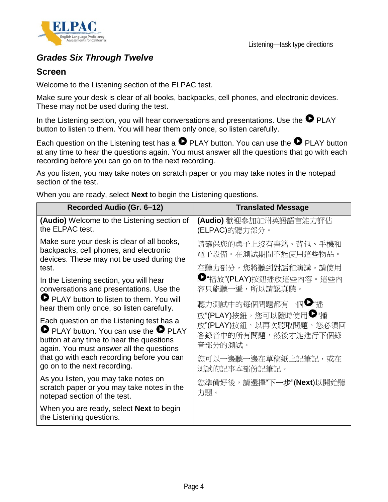

## *Grades Six Through Twelve*

## **Screen**

Welcome to the Listening section of the ELPAC test.

Make sure your desk is clear of all books, backpacks, cell phones, and electronic devices. These may not be used during the test.

In the Listening section, you will hear conversations and presentations. Use the  $\bullet$  PLAY button to listen to them. You will hear them only once, so listen carefully.

Each question on the Listening test has a  $\bullet$  PLAY button. You can use the  $\bullet$  PLAY button at any time to hear the questions again. You must answer all the questions that go with each recording before you can go on to the next recording.

As you listen, you may take notes on scratch paper or you may take notes in the notepad section of the test.

When you are ready, select **Next** to begin the Listening questions.

| Recorded Audio (Gr. 6–12)                                                                                                                                                                  | <b>Translated Message</b>                                         |
|--------------------------------------------------------------------------------------------------------------------------------------------------------------------------------------------|-------------------------------------------------------------------|
| (Audio) Welcome to the Listening section of<br>the ELPAC test.                                                                                                                             | (Audio) 歡迎參加加州英語語言能力評估<br>(ELPAC)的聽力部分。                           |
| Make sure your desk is clear of all books,<br>backpacks, cell phones, and electronic<br>devices. These may not be used during the<br>test.                                                 | 請確保您的桌子上沒有書籍、背包、手機和<br>電子設備。在測試期間不能使用這些物品。<br>在聽力部分,您將聽到對話和演講。請使用 |
| In the Listening section, you will hear<br>conversations and presentations. Use the                                                                                                        | ■"播放"(PLAY)按鈕播放這些內容。這些內<br>容只能聽一遍,所以請認真聽。                         |
| PLAY button to listen to them. You will<br>hear them only once, so listen carefully.                                                                                                       | 聽力測試中的每個問題都有一個♥"播<br>放"(PLAY)按鈕。您可以隨時使用♥"播                        |
| Each question on the Listening test has a<br>$\bullet$ PLAY button. You can use the $\bullet$ PLAY<br>button at any time to hear the questions<br>again. You must answer all the questions | 放"(PLAY)按鈕,以再次聽取問題。您必須回<br>答錄音中的所有問題,然後才能進行下個錄<br>音部分的測試。         |
| that go with each recording before you can<br>go on to the next recording.                                                                                                                 | 您可以一邊聽一邊在草稿紙上記筆記,或在<br>測試的記事本部份記筆記。                               |
| As you listen, you may take notes on<br>scratch paper or you may take notes in the<br>notepad section of the test.                                                                         | 您準備好後,請選擇"下一步"(Next)以開始聽<br>力題。                                   |
| When you are ready, select <b>Next</b> to begin<br>the Listening questions.                                                                                                                |                                                                   |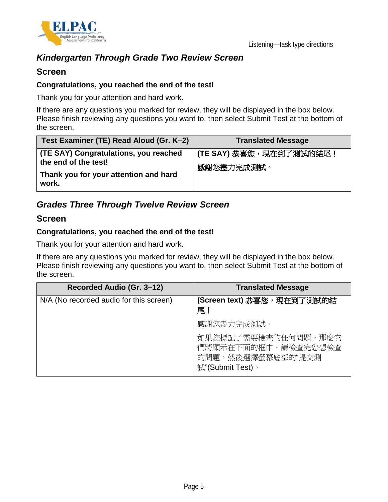

## *Kindergarten Through Grade Two Review Screen*

### **Screen**

#### **Congratulations, you reached the end of the test!**

Thank you for your attention and hard work.

If there are any questions you marked for review, they will be displayed in the box below. Please finish reviewing any questions you want to, then select Submit Test at the bottom of the screen.

| Test Examiner (TE) Read Aloud (Gr. K-2)                                                                | <b>Translated Message</b>                    |
|--------------------------------------------------------------------------------------------------------|----------------------------------------------|
| (TE SAY) Congratulations, you reached<br>the end of the test!<br>Thank you for your attention and hard | <b>(TE SAY)</b> 恭喜您,現在到了測試的結尾!<br>感謝您盡力完成測試。 |
| work.                                                                                                  |                                              |

## *Grades Three Through Twelve Review Screen*

#### **Screen**

#### **Congratulations, you reached the end of the test!**

Thank you for your attention and hard work.

If there are any questions you marked for review, they will be displayed in the box below. Please finish reviewing any questions you want to, then select Submit Test at the bottom of the screen.

| Recorded Audio (Gr. 3-12)               | <b>Translated Message</b>                                                           |
|-----------------------------------------|-------------------------------------------------------------------------------------|
| N/A (No recorded audio for this screen) | (Screen text) 恭喜您,現在到了測試的結<br>尾!                                                    |
|                                         | 感謝您盡力完成測試。                                                                          |
|                                         | 如果您標記了需要檢查的任何問題,那麼它<br>們將顯示在下面的框中。請檢查完您想檢查<br>的問題,然後選擇螢幕底部的"提交測<br>試"(Submit Test)。 |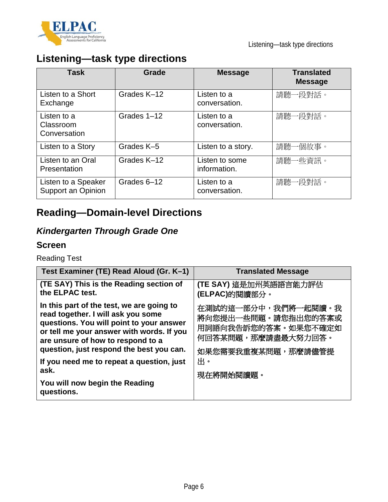

# **Listening—task type directions**

| Task                                      | Grade       | <b>Message</b>                 | <b>Translated</b><br><b>Message</b> |
|-------------------------------------------|-------------|--------------------------------|-------------------------------------|
| Listen to a Short<br>Exchange             | Grades K-12 | Listen to a<br>conversation.   | 請聽一段對話。                             |
| Listen to a<br>Classroom<br>Conversation  | Grades 1-12 | Listen to a<br>conversation.   | 請聽一段對話。                             |
| Listen to a Story                         | Grades K-5  | Listen to a story.             | 請聽一個故事。                             |
| Listen to an Oral<br>Presentation         | Grades K-12 | Listen to some<br>information. | 請聽一些資訊。                             |
| Listen to a Speaker<br>Support an Opinion | Grades 6-12 | Listen to a<br>conversation.   | 請聽一段對話。                             |

# **Reading—Domain-level Directions**

# *Kindergarten Through Grade One*

## **Screen**

Reading Test

| Test Examiner (TE) Read Aloud (Gr. K-1)                                                                                                                                                                                                                   | <b>Translated Message</b>                                                                                     |
|-----------------------------------------------------------------------------------------------------------------------------------------------------------------------------------------------------------------------------------------------------------|---------------------------------------------------------------------------------------------------------------|
| (TE SAY) This is the Reading section of<br>the ELPAC test.                                                                                                                                                                                                | (TE SAY) 這是加州英語語言能力評估<br>(ELPAC)的閱讀部分。                                                                        |
| In this part of the test, we are going to<br>read together. I will ask you some<br>questions. You will point to your answer<br>or tell me your answer with words. If you<br>are unsure of how to respond to a<br>question, just respond the best you can. | 在測試的這一部分中,我們將一起閱讀。我<br>將向您提出一些問題。請您指出您的答案或<br>用詞語向我告訴您的答案。如果您不確定如<br>何回答某問題,那麼請盡最大努力回答。<br>如果您需要我重複某問題,那麼請儘管提 |
| If you need me to repeat a question, just<br>ask.<br>You will now begin the Reading<br>questions.                                                                                                                                                         | 出。<br>現在將開始閱讀題。                                                                                               |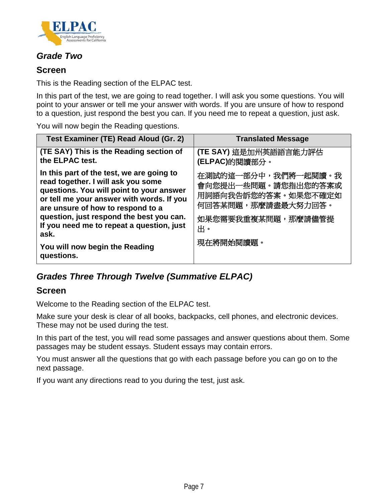

## *Grade Two*

## **Screen**

This is the Reading section of the ELPAC test.

In this part of the test, we are going to read together. I will ask you some questions. You will point to your answer or tell me your answer with words. If you are unsure of how to respond to a question, just respond the best you can. If you need me to repeat a question, just ask.

You will now begin the Reading questions.

| Test Examiner (TE) Read Aloud (Gr. 2)                                                                                                                                                                                                                                                                  | <b>Translated Message</b>                                                                                           |
|--------------------------------------------------------------------------------------------------------------------------------------------------------------------------------------------------------------------------------------------------------------------------------------------------------|---------------------------------------------------------------------------------------------------------------------|
| (TE SAY) This is the Reading section of<br>the ELPAC test.                                                                                                                                                                                                                                             | (TE SAY) 這是加州英語語言能力評估<br>(ELPAC)的閱讀部分。                                                                              |
| In this part of the test, we are going to<br>read together. I will ask you some<br>questions. You will point to your answer<br>or tell me your answer with words. If you<br>are unsure of how to respond to a<br>question, just respond the best you can.<br>If you need me to repeat a question, just | 在測試的這一部分中,我們將一起閱讀。我<br>會向您提出一些問題。請您指出您的答案或<br>用詞語向我告訴您的答案。如果您不確定如<br>何回答某問題,那麼請盡最大努力回答。<br>如果您需要我重複某問題,那麼請儘管提<br>出。 |
| ask.                                                                                                                                                                                                                                                                                                   |                                                                                                                     |
| You will now begin the Reading<br>questions.                                                                                                                                                                                                                                                           | 現在將開始閱讀題。                                                                                                           |

## *Grades Three Through Twelve (Summative ELPAC)*

### **Screen**

Welcome to the Reading section of the ELPAC test.

Make sure your desk is clear of all books, backpacks, cell phones, and electronic devices. These may not be used during the test.

In this part of the test, you will read some passages and answer questions about them. Some passages may be student essays. Student essays may contain errors.

You must answer all the questions that go with each passage before you can go on to the next passage.

If you want any directions read to you during the test, just ask.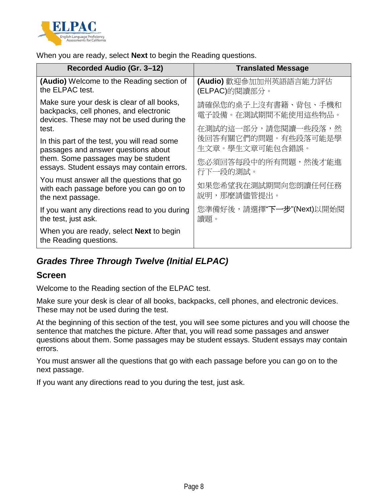

When you are ready, select **Next** to begin the Reading questions.

| Recorded Audio (Gr. 3-12)                                                                                                         | <b>Translated Message</b>                  |
|-----------------------------------------------------------------------------------------------------------------------------------|--------------------------------------------|
| (Audio) Welcome to the Reading section of<br>the ELPAC test.                                                                      | (Audio) 歡迎參加加州英語語言能力評估<br>(ELPAC)的閱讀部分。    |
| Make sure your desk is clear of all books,<br>backpacks, cell phones, and electronic<br>devices. These may not be used during the | 請確保您的桌子上沒有書籍、背包、手機和<br>電子設備。在測試期間不能使用這些物品。 |
| test.                                                                                                                             | 在測試的這一部分,請您閱讀一些段落,然                        |
| In this part of the test, you will read some<br>passages and answer questions about                                               | 後回答有關它們的問題。有些段落可能是學<br>生文章。學生文章可能包含錯誤。     |
| them. Some passages may be student<br>essays. Student essays may contain errors.                                                  | 您必須回答每段中的所有問題,然後才能進<br>行下一段的測試。            |
| You must answer all the questions that go<br>with each passage before you can go on to<br>the next passage.                       | 如果您希望我在測試期間向您朗讀任何任務<br>說明,那麼請儘管提出。         |
| If you want any directions read to you during<br>the test, just ask.                                                              | 您準備好後,請選擇"下一步"(Next)以開始閱<br>讀題。            |
| When you are ready, select <b>Next</b> to begin<br>the Reading questions.                                                         |                                            |

## *Grades Three Through Twelve (Initial ELPAC)*

### **Screen**

Welcome to the Reading section of the ELPAC test.

Make sure your desk is clear of all books, backpacks, cell phones, and electronic devices. These may not be used during the test.

At the beginning of this section of the test, you will see some pictures and you will choose the sentence that matches the picture. After that, you will read some passages and answer questions about them. Some passages may be student essays. Student essays may contain errors.

You must answer all the questions that go with each passage before you can go on to the next passage.

If you want any directions read to you during the test, just ask.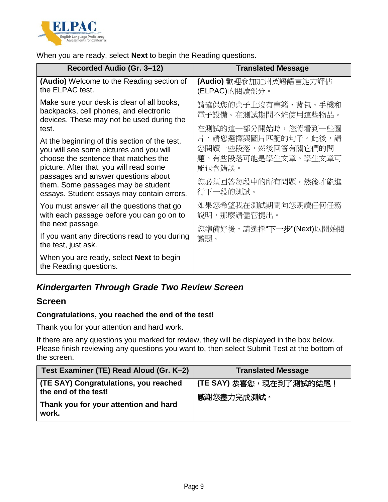

When you are ready, select **Next** to begin the Reading questions.

| Recorded Audio (Gr. 3-12)                                                                                                                                                   | <b>Translated Message</b>                                                  |
|-----------------------------------------------------------------------------------------------------------------------------------------------------------------------------|----------------------------------------------------------------------------|
| (Audio) Welcome to the Reading section of<br>the ELPAC test.                                                                                                                | (Audio) 歡迎參加加州英語語言能力評估<br>(ELPAC)的閱讀部分。                                    |
| Make sure your desk is clear of all books,<br>backpacks, cell phones, and electronic<br>devices. These may not be used during the                                           | 請確保您的桌子上沒有書籍、背包、手機和<br>電子設備。在測試期間不能使用這些物品。                                 |
| test.                                                                                                                                                                       | 在測試的這一部分開始時,您將看到一些圖                                                        |
| At the beginning of this section of the test,<br>you will see some pictures and you will<br>choose the sentence that matches the<br>picture. After that, you will read some | 片,請您選擇與圖片匹配的句子。此後,請<br>您閱讀一些段落,然後回答有關它們的問<br>題。有些段落可能是學生文章。學生文章可<br>能包含錯誤。 |
| passages and answer questions about<br>them. Some passages may be student<br>essays. Student essays may contain errors.                                                     | 您必須回答每段中的所有問題,然後才能進<br>行下一段的測試。                                            |
| You must answer all the questions that go<br>with each passage before you can go on to<br>the next passage.                                                                 | 如果您希望我在測試期間向您朗讀任何任務<br>說明,那麼請儘管提出。                                         |
|                                                                                                                                                                             | 您準備好後,請選擇"下一 <b>步"(Next)</b> 以開始閱                                          |
| If you want any directions read to you during<br>the test, just ask.                                                                                                        | 讀題。                                                                        |
| When you are ready, select <b>Next</b> to begin<br>the Reading questions.                                                                                                   |                                                                            |

## *Kindergarten Through Grade Two Review Screen*

### **Screen**

#### **Congratulations, you reached the end of the test!**

Thank you for your attention and hard work.

If there are any questions you marked for review, they will be displayed in the box below. Please finish reviewing any questions you want to, then select Submit Test at the bottom of the screen.

| Test Examiner (TE) Read Aloud (Gr. K-2)                                                                         | <b>Translated Message</b>                    |
|-----------------------------------------------------------------------------------------------------------------|----------------------------------------------|
| (TE SAY) Congratulations, you reached<br>the end of the test!<br>Thank you for your attention and hard<br>work. | <b>(TE SAY)</b> 恭喜您,現在到了測試的結尾!<br>感謝您盡力完成測試。 |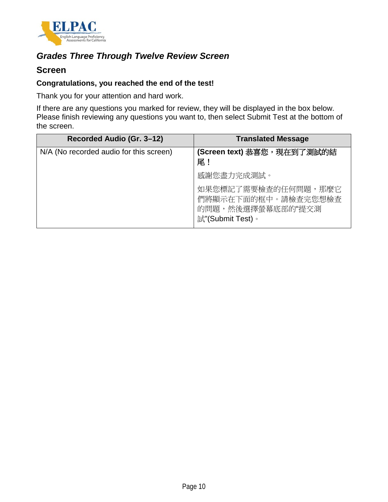

## *Grades Three Through Twelve Review Screen*

### **Screen**

#### **Congratulations, you reached the end of the test!**

Thank you for your attention and hard work.

If there are any questions you marked for review, they will be displayed in the box below. Please finish reviewing any questions you want to, then select Submit Test at the bottom of the screen.

| Recorded Audio (Gr. 3-12)               | <b>Translated Message</b>                                                           |
|-----------------------------------------|-------------------------------------------------------------------------------------|
| N/A (No recorded audio for this screen) | (Screen text) 恭喜您,現在到了測試的結<br>尾!                                                    |
|                                         | 感謝您盡力完成測試。                                                                          |
|                                         | 如果您標記了需要檢查的任何問題,那麼它<br>們將顯示在下面的框中。請檢查完您想檢查<br>的問題,然後選擇螢幕底部的"提交測<br>試"(Submit Test)。 |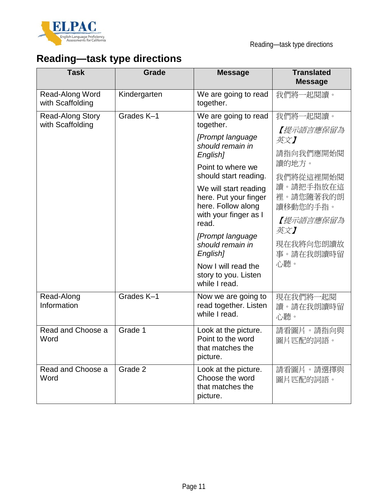

# **Reading—task type directions**

| <b>Task</b>                                 | <b>Grade</b> | <b>Message</b>                                                                                                                                                                                                                                                                                                                                                    | <b>Translated</b><br><b>Message</b>                                                                                                                        |
|---------------------------------------------|--------------|-------------------------------------------------------------------------------------------------------------------------------------------------------------------------------------------------------------------------------------------------------------------------------------------------------------------------------------------------------------------|------------------------------------------------------------------------------------------------------------------------------------------------------------|
| Read-Along Word<br>with Scaffolding         | Kindergarten | We are going to read<br>together.                                                                                                                                                                                                                                                                                                                                 | 我們將一起閱讀。                                                                                                                                                   |
| <b>Read-Along Story</b><br>with Scaffolding | Grades K-1   | We are going to read<br>together.<br>[Prompt language<br>should remain in<br>English]<br>Point to where we<br>should start reading.<br>We will start reading<br>here. Put your finger<br>here. Follow along<br>with your finger as I<br>read.<br>[Prompt language<br>should remain in<br>English]<br>Now I will read the<br>story to you. Listen<br>while I read. | 我們將一起閱讀。<br>【提示語言應保留為<br>英文】<br>請指向我們應開始閱<br>讀的地方。<br>我們將從這裡開始閱<br>讀。請把手指放在這<br>裡。請您隨著我的朗<br>讀移動您的手指。<br>【提示語言應保留為<br>英文】<br>現在我將向您朗讀故<br>事。請在我朗讀時留<br>心聽。 |
| Read-Along<br>Information                   | Grades K-1   | Now we are going to<br>read together. Listen<br>while I read.                                                                                                                                                                                                                                                                                                     | 現在我們將一起閱<br>讀。請在我朗讀時留<br>心聽。                                                                                                                               |
| Read and Choose a<br>Word                   | Grade 1      | Look at the picture.<br>Point to the word<br>that matches the<br>picture.                                                                                                                                                                                                                                                                                         | 請看圖片。請指向與<br>圖片匹配的詞語。                                                                                                                                      |
| Read and Choose a<br>Word                   | Grade 2      | Look at the picture.<br>Choose the word<br>that matches the<br>picture.                                                                                                                                                                                                                                                                                           | 請看圖片。請選擇與<br>圖片匹配的詞語。                                                                                                                                      |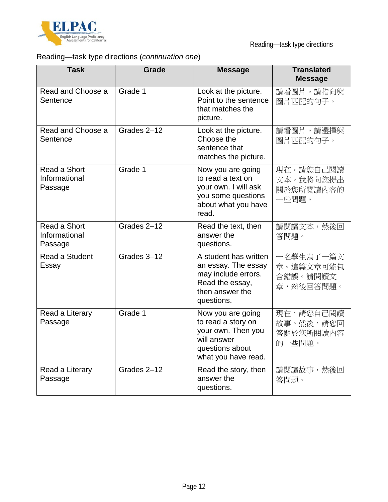

# Reading—task type directions (*continuation one*)

| <b>Task</b>                              | <b>Grade</b> | <b>Message</b>                                                                                                          | <b>Translated</b><br><b>Message</b>             |
|------------------------------------------|--------------|-------------------------------------------------------------------------------------------------------------------------|-------------------------------------------------|
| Read and Choose a<br>Sentence            | Grade 1      | Look at the picture.<br>Point to the sentence<br>that matches the<br>picture.                                           | 請看圖片。請指向與<br>圖片匹配的句子。                           |
| Read and Choose a<br>Sentence            | Grades 2-12  | Look at the picture.<br>Choose the<br>sentence that<br>matches the picture.                                             | 請看圖片。請選擇與<br>圖片匹配的句子。                           |
| Read a Short<br>Informational<br>Passage | Grade 1      | Now you are going<br>to read a text on<br>your own. I will ask<br>you some questions<br>about what you have<br>read.    | 現在,請您自己閱讀<br>文本。我將向您提出<br>關於您所閱讀內容的<br>一些問題。    |
| Read a Short<br>Informational<br>Passage | Grades 2-12  | Read the text, then<br>answer the<br>questions.                                                                         | 請閱讀文本,然後回<br>答問題。                               |
| Read a Student<br>Essay                  | Grades 3-12  | A student has written<br>an essay. The essay<br>may include errors.<br>Read the essay,<br>then answer the<br>questions. | 一名學生寫了一篇文<br>章。這篇文章可能包<br>含錯誤。請閱讀文<br>章,然後回答問題。 |
| Read a Literary<br>Passage               | Grade 1      | Now you are going<br>to read a story on<br>your own. Then you<br>will answer<br>questions about<br>what you have read.  | 現在,請您自己閱讀<br>故事。然後,請您回<br>答關於您所閱讀內容<br>的一些問題。   |
| Read a Literary<br>Passage               | Grades 2-12  | Read the story, then<br>answer the<br>questions.                                                                        | 請閱讀故事,然後回<br>答問題。                               |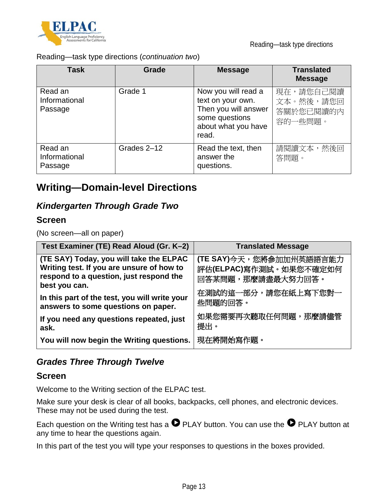

Reading—task type directions

Reading—task type directions (*continuation two*)

| <b>Task</b>                         | Grade       | <b>Message</b>                                                                                                     | <b>Translated</b><br><b>Message</b>            |
|-------------------------------------|-------------|--------------------------------------------------------------------------------------------------------------------|------------------------------------------------|
| Read an<br>Informational<br>Passage | Grade 1     | Now you will read a<br>text on your own.<br>Then you will answer<br>some questions<br>about what you have<br>read. | 現在,請您自己閱讀<br>文本。然後,請您回<br>答關於您已閱讀的內<br>容的一些問題。 |
| Read an<br>Informational<br>Passage | Grades 2-12 | Read the text, then<br>answer the<br>questions.                                                                    | 請閱讀文本,然後回<br>答問題。                              |

# **Writing—Domain-level Directions**

## *Kindergarten Through Grade Two*

### **Screen**

(No screen—all on paper)

| Test Examiner (TE) Read Aloud (Gr. K-2)                                                                                                          | <b>Translated Message</b>                                              |
|--------------------------------------------------------------------------------------------------------------------------------------------------|------------------------------------------------------------------------|
| (TE SAY) Today, you will take the ELPAC<br>Writing test. If you are unsure of how to<br>respond to a question, just respond the<br>best you can. | (TE SAY)今天,您將參加加州英語語言能力<br>評估(ELPAC)寫作測試。如果您不確定如何<br>回答某問題,那麼請盡最大努力回答。 |
| In this part of the test, you will write your<br>answers to some questions on paper.                                                             | 在測試的這一部分,請您在紙上寫下您對一<br>些問題的回答。                                         |
| If you need any questions repeated, just<br>ask.                                                                                                 | 如果您需要再次聽取任何問題,那麼請儘管<br>提出。                                             |
| You will now begin the Writing questions.                                                                                                        | 現在將開始寫作題。                                                              |

## *Grades Three Through Twelve*

### **Screen**

Welcome to the Writing section of the ELPAC test.

Make sure your desk is clear of all books, backpacks, cell phones, and electronic devices. These may not be used during the test.

Each question on the Writing test has a  $\bullet$  PLAY button. You can use the  $\bullet$  PLAY button at any time to hear the questions again.

In this part of the test you will type your responses to questions in the boxes provided.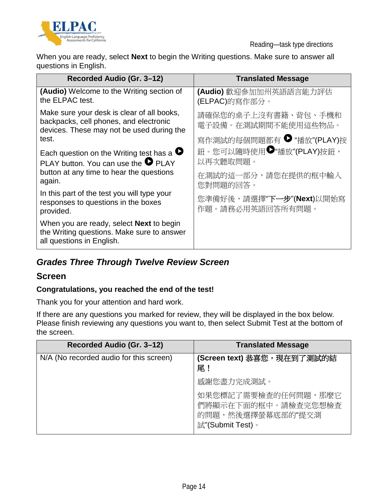

Reading—task type directions

When you are ready, select **Next** to begin the Writing questions. Make sure to answer all questions in English.

| Recorded Audio (Gr. 3-12)                                                                                                         | <b>Translated Message</b>                        |
|-----------------------------------------------------------------------------------------------------------------------------------|--------------------------------------------------|
| (Audio) Welcome to the Writing section of<br>the ELPAC test.                                                                      | (Audio) 歡迎參加加州英語語言能力評估<br>(ELPAC)的寫作部分。          |
| Make sure your desk is clear of all books,<br>backpacks, cell phones, and electronic<br>devices. These may not be used during the | 請確保您的桌子上沒有書籍、背包、手機和<br>電子設備。在測試期間不能使用這些物品。       |
| test.                                                                                                                             | 寫作測試的每個問題都有 ● "播放"(PLAY)按                        |
| Each question on the Writing test has a $\bullet$<br>PLAY button. You can use the $\bullet$ PLAY                                  | 鈕。您可以隨時使用 <sup>●</sup> "播放"(PLAY)按鈕,<br>以再次聽取問題。 |
| button at any time to hear the questions<br>again.                                                                                | 在測試的這一部分,請您在提供的框中輸入<br>您對問題的回答。                  |
| In this part of the test you will type your<br>responses to questions in the boxes<br>provided.                                   | 您準備好後,請選擇"下一步"(Next)以開始寫<br>作題。請務必用英語回答所有問題。     |
| When you are ready, select <b>Next</b> to begin<br>the Writing questions. Make sure to answer<br>all questions in English.        |                                                  |

## *Grades Three Through Twelve Review Screen*

### **Screen**

### **Congratulations, you reached the end of the test!**

Thank you for your attention and hard work.

If there are any questions you marked for review, they will be displayed in the box below. Please finish reviewing any questions you want to, then select Submit Test at the bottom of the screen.

| Recorded Audio (Gr. 3-12)               | <b>Translated Message</b>                                                           |
|-----------------------------------------|-------------------------------------------------------------------------------------|
| N/A (No recorded audio for this screen) | (Screen text) 恭喜您,現在到了測試的結<br>尾!                                                    |
|                                         | 感謝您盡力完成測試。                                                                          |
|                                         | 如果您標記了需要檢查的任何問題,那麼它<br>們將顯示在下面的框中。請檢查完您想檢查<br>的問題,然後選擇螢幕底部的"提交測<br>試"(Submit Test)。 |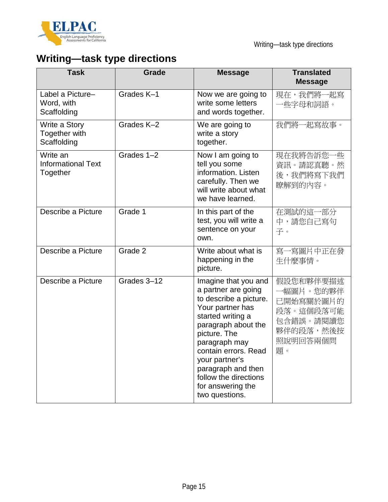

# **Writing—task type directions**

| <b>Task</b>                                       | Grade       | <b>Message</b>                                                                                                                                                                                                                                                                                         | <b>Translated</b><br><b>Message</b>                                                          |
|---------------------------------------------------|-------------|--------------------------------------------------------------------------------------------------------------------------------------------------------------------------------------------------------------------------------------------------------------------------------------------------------|----------------------------------------------------------------------------------------------|
| Label a Picture-<br>Word, with<br>Scaffolding     | Grades K-1  | Now we are going to<br>write some letters<br>and words together.                                                                                                                                                                                                                                       | 現在,我們將一起寫<br>一些字母和詞語。                                                                        |
| Write a Story<br>Together with<br>Scaffolding     | Grades K-2  | We are going to<br>write a story<br>together.                                                                                                                                                                                                                                                          | 我們將一起寫故事。                                                                                    |
| Write an<br><b>Informational Text</b><br>Together | Grades 1-2  | Now I am going to<br>tell you some<br>information. Listen<br>carefully. Then we<br>will write about what<br>we have learned.                                                                                                                                                                           | 現在我將告訴您一些<br>資訊。請認真聽。然<br>後,我們將寫下我們<br>瞭解到的內容。                                               |
| Describe a Picture                                | Grade 1     | In this part of the<br>test, you will write a<br>sentence on your<br>own.                                                                                                                                                                                                                              | 在測試的這一部分<br>中,請您自己寫句<br>子。                                                                   |
| Describe a Picture                                | Grade 2     | Write about what is<br>happening in the<br>picture.                                                                                                                                                                                                                                                    | 寫一寫圖片中正在發<br>生什麼事情。                                                                          |
| Describe a Picture                                | Grades 3-12 | Imagine that you and<br>a partner are going<br>to describe a picture.<br>Your partner has<br>started writing a<br>paragraph about the<br>picture. The<br>paragraph may<br>contain errors. Read<br>your partner's<br>paragraph and then<br>follow the directions<br>for answering the<br>two questions. | 假設您和夥伴要描述<br>一幅圖片。您的夥伴<br>已開始寫關於圖片的<br>段落。這個段落可能<br>包含錯誤。請閱讀您<br>夥伴的段落,然後按<br>照說明回答兩個問<br>題。 |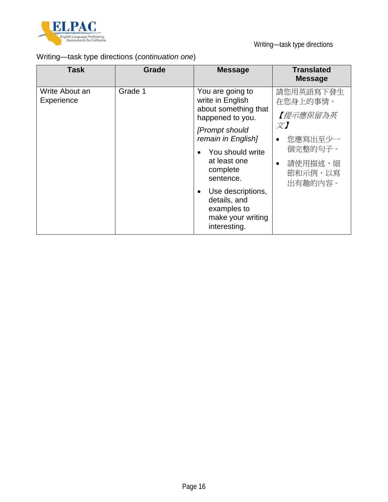

# Writing—task type directions (*continuation one*)

| Grade 1<br>Write About an<br>You are going to<br>write in English<br>Experience<br>在您身上的事情。<br>about something that                                                                                                                   | <b>Task</b> | Grade | <b>Message</b>   | <b>Translated</b><br><b>Message</b>                                          |
|---------------------------------------------------------------------------------------------------------------------------------------------------------------------------------------------------------------------------------------|-------------|-------|------------------|------------------------------------------------------------------------------|
| $\chi$ )<br>[Prompt should<br>remain in English]<br>$\bullet$<br>You should write<br>at least one<br>$\bullet$<br>complete<br>sentence.<br>Use descriptions,<br>٠<br>details, and<br>examples to<br>make your writing<br>interesting. |             |       | happened to you. | 請您用英語寫下發生<br>【提示應保留為英<br>您應寫出至少一<br>個完整的句子。<br>請使用描述、細<br>節和示例,以寫<br>出有趣的内容。 |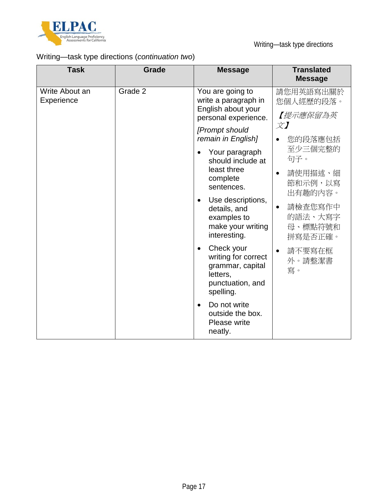

# Writing—task type directions (*continuation two*)

| <b>Task</b>                  | Grade   | <b>Message</b>                                                                                                  | <b>Translated</b><br><b>Message</b>                   |
|------------------------------|---------|-----------------------------------------------------------------------------------------------------------------|-------------------------------------------------------|
| Write About an<br>Experience | Grade 2 | You are going to<br>write a paragraph in<br>English about your<br>personal experience.                          | 請您用英語寫出關於<br>您個人經歷的段落。<br>【提示應保留為英                    |
|                              |         | [Prompt should<br>remain in English]                                                                            | $\overrightarrow{\mathcal{X}}$<br>您的段落應包括             |
|                              |         | Your paragraph<br>$\bullet$<br>should include at                                                                | 至少三個完整的<br>句子。                                        |
|                              |         | least three<br>complete<br>sentences.                                                                           | 請使用描述、細<br>$\bullet$<br>節和示例,以寫<br>出有趣的内容。            |
|                              |         | Use descriptions,<br>$\bullet$<br>details, and<br>examples to<br>make your writing<br>interesting.              | 請檢查您寫作中<br>$\bullet$<br>的語法、大寫字<br>母、標點符號和<br>拼寫是否正確。 |
|                              |         | Check your<br>$\bullet$<br>writing for correct<br>grammar, capital<br>letters,<br>punctuation, and<br>spelling. | 請不要寫在框<br>$\bullet$<br>外。請整潔書<br>寫。                   |
|                              |         | Do not write<br>$\bullet$<br>outside the box.<br>Please write<br>neatly.                                        |                                                       |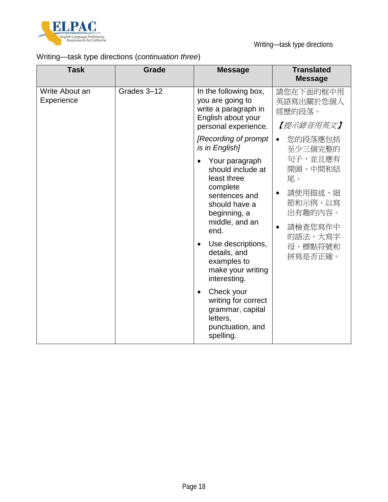

# Writing—task type directions (*continuation three*)

| <b>Task</b>                  | <b>Grade</b> | <b>Message</b>                                                                                                                                                                                                                                   | <b>Translated</b><br><b>Message</b>                                                                                             |
|------------------------------|--------------|--------------------------------------------------------------------------------------------------------------------------------------------------------------------------------------------------------------------------------------------------|---------------------------------------------------------------------------------------------------------------------------------|
| Write About an<br>Experience | Grades 3-12  | In the following box,<br>you are going to<br>write a paragraph in<br>English about your<br>personal experience.                                                                                                                                  | 請您在下面的框中用<br>英語寫出關於您個人<br>經歷的段落。<br>【提示錄音用英文】                                                                                   |
|                              |              | [Recording of prompt<br>is in English]                                                                                                                                                                                                           | 您的段落應包括<br>$\bullet$<br>至少三個完整的                                                                                                 |
|                              |              | Your paragraph<br>should include at<br>least three<br>complete<br>sentences and<br>should have a<br>beginning, a<br>middle, and an<br>end.<br>Use descriptions,<br>$\bullet$<br>details, and<br>examples to<br>make your writing<br>interesting. | 句子,並且應有<br>開頭、中間和結<br>尾。<br>請使用描述、細<br>$\bullet$<br>節和示例,以寫<br>出有趣的内容。<br>請檢查您寫作中<br>$\bullet$<br>的語法、大寫字<br>母、標點符號和<br>拼寫是否正確。 |
|                              |              | Check your<br>$\bullet$<br>writing for correct<br>grammar, capital<br>letters,<br>punctuation, and<br>spelling.                                                                                                                                  |                                                                                                                                 |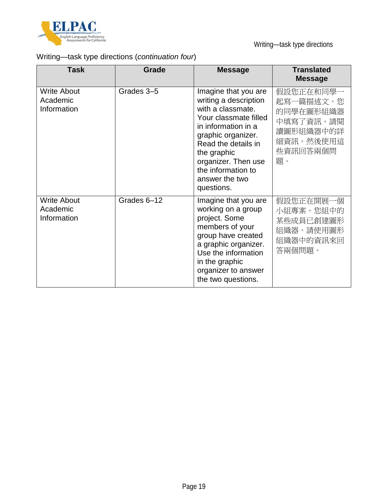

# Writing—task type directions (*continuation four*)

| <b>Task</b>                                   | <b>Grade</b> | <b>Message</b>                                                                                                                                                                                                                                              | <b>Translated</b><br><b>Message</b>                                                          |
|-----------------------------------------------|--------------|-------------------------------------------------------------------------------------------------------------------------------------------------------------------------------------------------------------------------------------------------------------|----------------------------------------------------------------------------------------------|
| <b>Write About</b><br>Academic<br>Information | Grades 3-5   | Imagine that you are<br>writing a description<br>with a classmate.<br>Your classmate filled<br>in information in a<br>graphic organizer.<br>Read the details in<br>the graphic<br>organizer. Then use<br>the information to<br>answer the two<br>questions. | 假設您正在和同學一<br>起寫一篇描述文。您<br>的同學在圖形組織器<br>中填寫了資訊。請閱<br>讀圖形組織器中的詳<br>細資訊。然後使用這<br>些資訊回答兩個問<br>題。 |
| <b>Write About</b><br>Academic<br>Information | Grades 6-12  | Imagine that you are<br>working on a group<br>project. Some<br>members of your<br>group have created<br>a graphic organizer.<br>Use the information<br>in the graphic<br>organizer to answer<br>the two questions.                                          | 假設您正在開展一個<br>小組專案。您組中的<br>某些成員已創建圖形<br>組織器。請使用圖形<br>組織器中的資訊來回<br>答兩個問題。                      |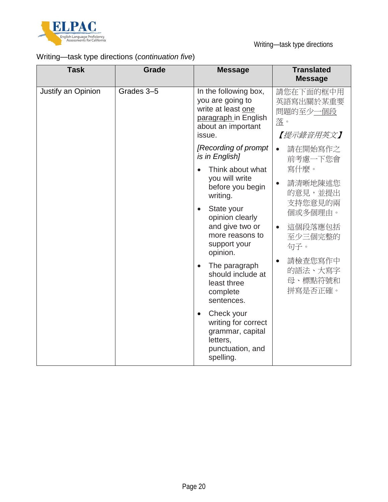

# Writing—task type directions (*continuation five*)

| <b>Task</b>        | <b>Grade</b> | <b>Message</b>                                                                                                          | <b>Translated</b><br><b>Message</b>                   |
|--------------------|--------------|-------------------------------------------------------------------------------------------------------------------------|-------------------------------------------------------|
| Justify an Opinion | Grades 3-5   | In the following box,<br>you are going to<br>write at least one<br>paragraph in English<br>about an important<br>issue. | 請您在下面的框中用<br>英語寫出關於某重要<br>問題的至少一個段<br>落。<br>【提示錄音用英文】 |
|                    |              | [Recording of prompt]<br>is in English]                                                                                 | 請在開始寫作之<br>$\bullet$<br>前考慮一下您會                       |
|                    |              | Think about what<br>you will write<br>before you begin<br>writing.                                                      | 寫什麼。<br>請清晰地陳述您<br>$\bullet$<br>的意見,並提出               |
|                    |              | State your<br>opinion clearly<br>and give two or<br>more reasons to<br>support your<br>opinion.                         | 支持您意見的兩<br>個或多個理由。                                    |
|                    |              |                                                                                                                         | 這個段落應包括<br>$\bullet$<br>至少三個完整的<br>句子。                |
|                    |              | The paragraph<br>should include at<br>least three<br>complete<br>sentences.                                             | 請檢查您寫作中<br>$\bullet$<br>的語法、大寫字<br>母、標點符號和<br>拼寫是否正確。 |
|                    |              | Check your<br>writing for correct<br>grammar, capital<br>letters,<br>punctuation, and<br>spelling.                      |                                                       |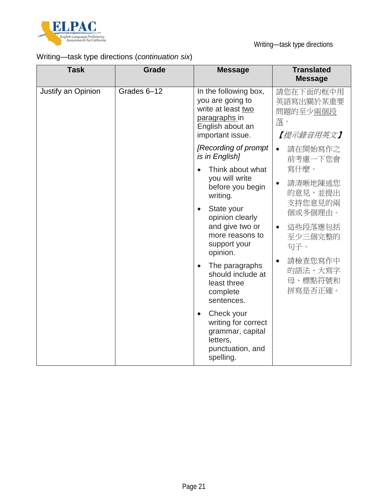

# Writing—task type directions (*continuation six*)

| <b>Task</b>        | <b>Grade</b> | <b>Message</b>                                                                                                           | <b>Translated</b><br><b>Message</b>                   |
|--------------------|--------------|--------------------------------------------------------------------------------------------------------------------------|-------------------------------------------------------|
| Justify an Opinion | Grades 6-12  | In the following box,<br>you are going to<br>write at least two<br>paragraphs in<br>English about an<br>important issue. | 請您在下面的框中用<br>英語寫出關於某重要<br>問題的至少兩個段<br>落。<br>【提示錄音用英文】 |
|                    |              | [Recording of prompt]<br>is in English]                                                                                  | 請在開始寫作之<br>$\bullet$<br>前考慮一下您會                       |
|                    |              | Think about what<br>you will write<br>before you begin<br>writing.                                                       | 寫什麼。<br>請清晰地陳述您<br>$\bullet$<br>的意見,並提出               |
|                    |              | State your<br>opinion clearly<br>and give two or<br>more reasons to<br>support your<br>opinion.                          | 支持您意見的兩<br>個或多個理由。                                    |
|                    |              |                                                                                                                          | 這些段落應包括<br>$\bullet$<br>至少三個完整的<br>句子。                |
|                    |              | The paragraphs<br>should include at<br>least three<br>complete<br>sentences.                                             | 請檢查您寫作中<br>$\bullet$<br>的語法、大寫字<br>母、標點符號和<br>拼寫是否正確。 |
|                    |              | Check your<br>writing for correct<br>grammar, capital<br>letters,<br>punctuation, and<br>spelling.                       |                                                       |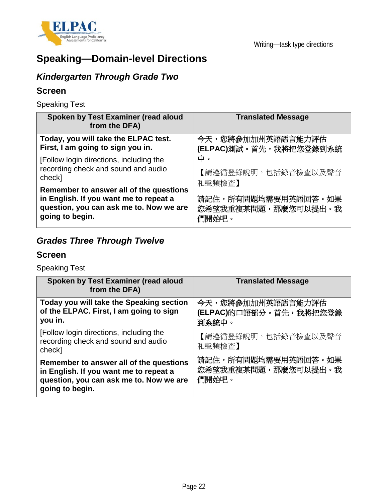

# **Speaking—Domain-level Directions**

# *Kindergarten Through Grade Two*

## **Screen**

Speaking Test

| Spoken by Test Examiner (read aloud<br>from the DFA)                                                                                            | <b>Translated Message</b>                                                                  |  |
|-------------------------------------------------------------------------------------------------------------------------------------------------|--------------------------------------------------------------------------------------------|--|
| Today, you will take the ELPAC test.<br>First, I am going to sign you in.                                                                       | 今天,您將參加加州英語語言能力評估<br>(ELPAC)測試。首先,我將把您登錄到系統                                                |  |
| [Follow login directions, including the<br>recording check and sound and audio<br>check]                                                        | 中。<br>【請遵循登錄說明,包括錄音檢查以及聲音<br>和聲頻檢查】<br>請記住,所有問題均需要用英語回答。如果<br>您希望我重複某問題,那麼您可以提出。我<br>們開始吧。 |  |
| Remember to answer all of the questions<br>in English. If you want me to repeat a<br>question, you can ask me to. Now we are<br>going to begin. |                                                                                            |  |

# *Grades Three Through Twelve*

## **Screen**

Speaking Test

| Spoken by Test Examiner (read aloud<br>from the DFA)                                                                                            | <b>Translated Message</b>                            |
|-------------------------------------------------------------------------------------------------------------------------------------------------|------------------------------------------------------|
| Today you will take the Speaking section<br>of the ELPAC. First, I am going to sign<br>you in.                                                  | 今天,您將參加加州英語語言能力評估<br>(ELPAC)的口語部分。首先,我將把您登錄<br>到系統中。 |
| [Follow login directions, including the<br>recording check and sound and audio<br>check]                                                        | 【請遵循登錄說明,包括錄音檢查以及聲音<br>和聲頻檢查】                        |
| Remember to answer all of the questions<br>in English. If you want me to repeat a<br>question, you can ask me to. Now we are<br>going to begin. | 請記住,所有問題均需要用英語回答。如果<br>您希望我重複某問題,那麼您可以提出。我<br>們開始吧。  |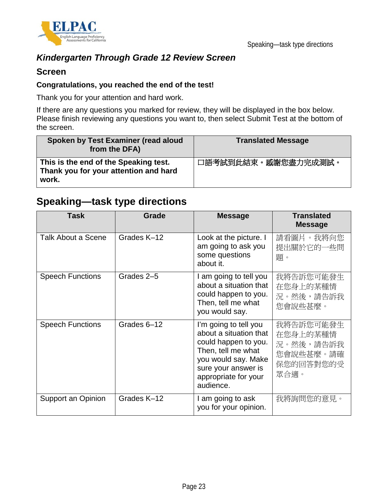

## *Kindergarten Through Grade 12 Review Screen*

### **Screen**

#### **Congratulations, you reached the end of the test!**

Thank you for your attention and hard work.

If there are any questions you marked for review, they will be displayed in the box below. Please finish reviewing any questions you want to, then select Submit Test at the bottom of the screen.

| Spoken by Test Examiner (read aloud<br>from the DFA)                                    | <b>Translated Message</b> |
|-----------------------------------------------------------------------------------------|---------------------------|
| This is the end of the Speaking test.<br>Thank you for your attention and hard<br>work. | 口語考試到此結束。感謝您盡力完成測試。       |

# **Speaking—task type directions**

| <b>Task</b>             | <b>Grade</b> | <b>Message</b>                                                                                                                                                                   | <b>Translated</b><br><b>Message</b>                                  |
|-------------------------|--------------|----------------------------------------------------------------------------------------------------------------------------------------------------------------------------------|----------------------------------------------------------------------|
| Talk About a Scene      | Grades K-12  | Look at the picture. I<br>am going to ask you<br>some questions<br>about it.                                                                                                     | 請看圖片。我將向您<br>提出關於它的一些問<br>題。                                         |
| <b>Speech Functions</b> | Grades 2-5   | I am going to tell you<br>about a situation that<br>could happen to you.<br>Then, tell me what<br>you would say.                                                                 | 我將告訴您可能發生<br>在您身上的某種情<br>況。然後,請告訴我<br>您會說些甚麼。                        |
| <b>Speech Functions</b> | Grades 6-12  | I'm going to tell you<br>about a situation that<br>could happen to you.<br>Then, tell me what<br>you would say. Make<br>sure your answer is<br>appropriate for your<br>audience. | 我將告訴您可能發生<br>在您身上的某種情<br>況。然後,請告訴我<br>您會說些甚麼。請確<br>保您的回答對您的受<br>眾合適。 |
| Support an Opinion      | Grades K-12  | I am going to ask<br>you for your opinion.                                                                                                                                       | 我將詢問您的意見。                                                            |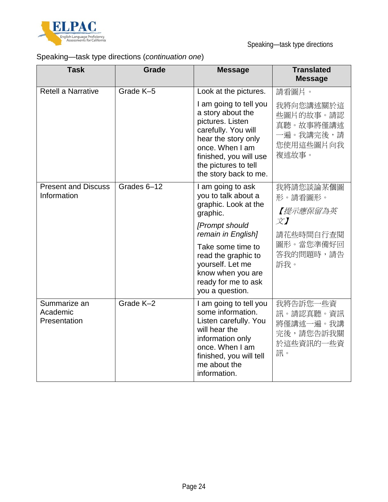

# Speaking—task type directions (*continuation one*)

| <b>Task</b>                               | <b>Grade</b> | <b>Message</b>                                                                                                                                                                                                                                      | <b>Translated</b><br><b>Message</b>                                                                                |
|-------------------------------------------|--------------|-----------------------------------------------------------------------------------------------------------------------------------------------------------------------------------------------------------------------------------------------------|--------------------------------------------------------------------------------------------------------------------|
| <b>Retell a Narrative</b>                 | Grade K-5    | Look at the pictures.                                                                                                                                                                                                                               | 請看圖片。                                                                                                              |
|                                           |              | I am going to tell you<br>a story about the<br>pictures. Listen<br>carefully. You will<br>hear the story only<br>once. When I am<br>finished, you will use<br>the pictures to tell<br>the story back to me.                                         | 我將向您講述關於這<br>些圖片的故事。請認<br>真聽。故事將僅講述<br>一遍。我講完後,請<br>您使用這些圖片向我<br>複述故事。                                             |
| <b>Present and Discuss</b><br>Information | Grades 6-12  | I am going to ask<br>you to talk about a<br>graphic. Look at the<br>graphic.<br>[Prompt should<br>remain in English]<br>Take some time to<br>read the graphic to<br>yourself. Let me<br>know when you are<br>ready for me to ask<br>you a question. | 我將請您談論某個圖<br>形。請看圖形。<br>【提示應保留為英<br>$\overline{\chi}$ $\overline{I}$<br>請花些時間自行查閱<br>圖形。當您準備好回<br>答我的問題時,請告<br>訴我。 |
| Summarize an<br>Academic<br>Presentation  | Grade K-2    | I am going to tell you<br>some information.<br>Listen carefully. You<br>will hear the<br>information only<br>once. When I am<br>finished, you will tell<br>me about the<br>information.                                                             | 我將告訴您一些資<br>訊。請認真聽。資訊<br>將僅講述一遍。我講<br>完後,請您告訴我關<br>於這些資訊的一些資<br>訊。                                                 |